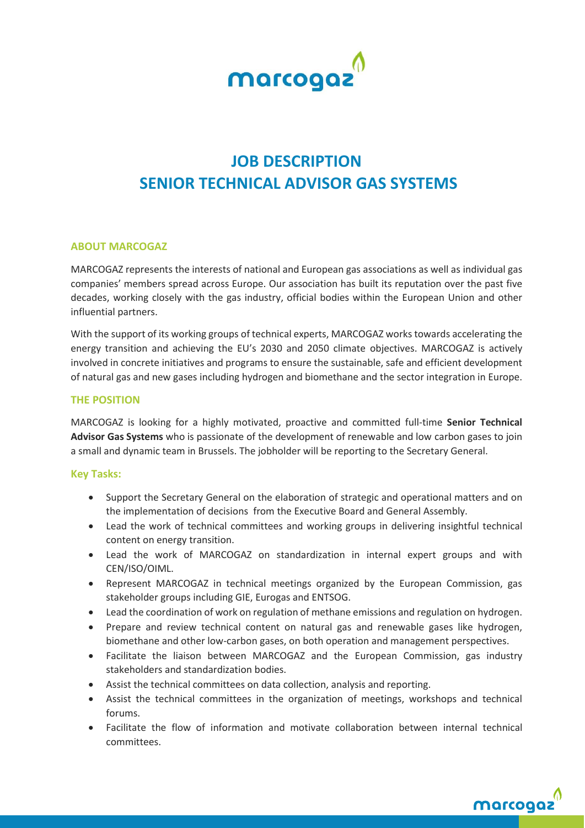

# **JOB DESCRIPTION SENIOR TECHNICAL ADVISOR GAS SYSTEMS**

#### **ABOUT MARCOGAZ**

MARCOGAZ represents the interests of national and European gas associations as well as individual gas companies' members spread across Europe. Our association has built its reputation over the past five decades, working closely with the gas industry, official bodies within the European Union and other influential partners.

With the support of its working groups of technical experts, MARCOGAZ works towards accelerating the energy transition and achieving the EU's 2030 and 2050 climate objectives. MARCOGAZ is actively involved in concrete initiatives and programs to ensure the sustainable, safe and efficient development of natural gas and new gases including hydrogen and biomethane and the sector integration in Europe.

#### **THE POSITION**

MARCOGAZ is looking for a highly motivated, proactive and committed full-time **Senior Technical Advisor Gas Systems** who is passionate of the development of renewable and low carbon gases to join a small and dynamic team in Brussels. The jobholder will be reporting to the Secretary General.

#### **Key Tasks:**

- Support the Secretary General on the elaboration of strategic and operational matters and on the implementation of decisions from the Executive Board and General Assembly.
- Lead the work of technical committees and working groups in delivering insightful technical content on energy transition.
- Lead the work of MARCOGAZ on standardization in internal expert groups and with CEN/ISO/OIML.
- Represent MARCOGAZ in technical meetings organized by the European Commission, gas stakeholder groups including GIE, Eurogas and ENTSOG.
- Lead the coordination of work on regulation of methane emissions and regulation on hydrogen.
- Prepare and review technical content on natural gas and renewable gases like hydrogen, biomethane and other low-carbon gases, on both operation and management perspectives.
- Facilitate the liaison between MARCOGAZ and the European Commission, gas industry stakeholders and standardization bodies.
- Assist the technical committees on data collection, analysis and reporting.
- Assist the technical committees in the organization of meetings, workshops and technical forums.
- Facilitate the flow of information and motivate collaboration between internal technical committees.